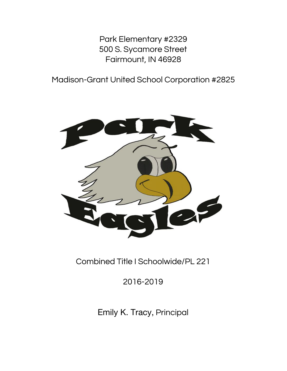Park Elementary #2329 500 S. Sycamore Street Fairmount, IN 46928

Madison-Grant United School Corporation #2825



Combined Title I Schoolwide/PL 221

2016-2019

Emily K. Tracy, Principal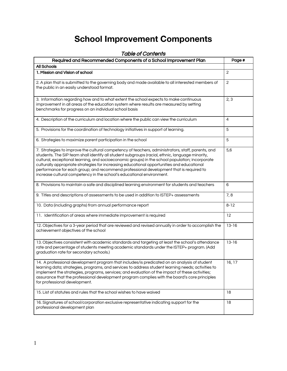# **School Improvement Components**

| <u>I UME VI CUITENTS</u>                                                                                                                                                                                                                                                                                                                                                                                                                                                                                                                                                 |                |  |  |  |
|--------------------------------------------------------------------------------------------------------------------------------------------------------------------------------------------------------------------------------------------------------------------------------------------------------------------------------------------------------------------------------------------------------------------------------------------------------------------------------------------------------------------------------------------------------------------------|----------------|--|--|--|
| Required and Recommended Components of a School Improvement Plan                                                                                                                                                                                                                                                                                                                                                                                                                                                                                                         | Page #         |  |  |  |
| All Schools                                                                                                                                                                                                                                                                                                                                                                                                                                                                                                                                                              |                |  |  |  |
| 1. Mission and Vision of school                                                                                                                                                                                                                                                                                                                                                                                                                                                                                                                                          | 2              |  |  |  |
| 2. A plan that is submitted to the governing body and made available to all interested members of<br>the public in an easily understood format.                                                                                                                                                                                                                                                                                                                                                                                                                          | $\overline{c}$ |  |  |  |
| 3. Information regarding how and to what extent the school expects to make continuous<br>improvement in all areas of the education system where results are measured by setting<br>benchmarks for progress on an individual school basis                                                                                                                                                                                                                                                                                                                                 | 2, 3           |  |  |  |
| 4. Description of the curriculum and location where the public can view the curriculum                                                                                                                                                                                                                                                                                                                                                                                                                                                                                   | 4              |  |  |  |
| 5. Provisions for the coordination of technology initiatives in support of learning.                                                                                                                                                                                                                                                                                                                                                                                                                                                                                     | 5              |  |  |  |
| 6. Strategies to maximize parent participation in the school                                                                                                                                                                                                                                                                                                                                                                                                                                                                                                             | 5              |  |  |  |
| 7. Strategies to improve the cultural competency of teachers, administrators, staff, parents, and<br>students. The SIP team shall identify all student subgroups (racial, ethnic, language minority,<br>cultural, exceptional learning, and socioeconomic groups) in the school population; incorporate<br>culturally appropriate strategies for increasing educational opportunities and educational<br>performance for each group; and recommend professional development that is required to<br>increase cultural competency in the school's educational environment. | 5,6            |  |  |  |
| 8. Provisions to maintain a safe and disciplined learning environment for students and teachers                                                                                                                                                                                                                                                                                                                                                                                                                                                                          | 6              |  |  |  |
| 9. Titles and descriptions of assessments to be used in addition to ISTEP+ assessments                                                                                                                                                                                                                                                                                                                                                                                                                                                                                   | 7,8            |  |  |  |
| 10. Data (including graphs) from annual performance report                                                                                                                                                                                                                                                                                                                                                                                                                                                                                                               | $8 - 12$       |  |  |  |
| 11. Identification of areas where immediate improvement is required                                                                                                                                                                                                                                                                                                                                                                                                                                                                                                      | 12             |  |  |  |
| 12. Objectives for a 3-year period that are reviewed and revised annually in order to accomplish the<br>achievement objectives of the school                                                                                                                                                                                                                                                                                                                                                                                                                             | $13 - 16$      |  |  |  |
| 13. Objectives consistent with academic standards and targeting at least the school's attendance<br>rate and percentage of students meeting academic standards under the ISTEP+ program. (Add<br>graduation rate for secondary schools.)                                                                                                                                                                                                                                                                                                                                 | $13 - 16$      |  |  |  |
| 14. A professional development program that includes/is predicated on an analysis of student<br>learning data; strategies, programs, and services to address student learning needs; activities to<br>implement the strategies, programs, services; and evaluation of the impact of these activities;<br>assurance that the professional development program complies with the board's core principles<br>for professional development.                                                                                                                                  | 16, 17         |  |  |  |
| 15. List of statutes and rules that the school wishes to have waived                                                                                                                                                                                                                                                                                                                                                                                                                                                                                                     | 18             |  |  |  |
| 16. Signatures of school/corporation exclusive representative indicating support for the<br>professional development plan                                                                                                                                                                                                                                                                                                                                                                                                                                                | 18             |  |  |  |

# Table of Contents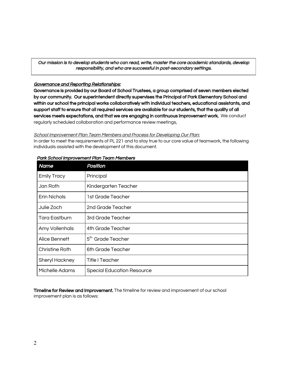Our mission is to develop students who can read, write, master the core academic standards, develop responsibility, and who are successful in post-secondary settings.

#### Governance and Reporting Relationships:

Governance is provided by our Board of School Trustees, a group comprised of seven members elected by our community. Our superintendent directly supervises the Principal of Park Elementary School and within our school the principal works collaboratively with individual teachers, educational assistants, and support staff to ensure that all required services are available for our students, that the quality of all services meets expectations, and that we are engaging in continuous improvement work. We conduct regularly scheduled collaboration and performance review meetings,

#### School Improvement Plan Team Members and Process for Developing Our Plan:

In order to meet the requirements of PL 221 and to stay true to our core value of teamwork, the following individuals assisted with the development of this document.

| <b>Name</b>        | Position                          |
|--------------------|-----------------------------------|
| <b>Emily Tracy</b> | Principal                         |
| Jan Roth           | Kindergarten Teacher              |
| Erin Nichols       | 1st Grade Teacher                 |
| Julie Zoch         | 2nd Grade Teacher                 |
| Tara Eastburn      | 3rd Grade Teacher                 |
| Amy Vollenhals     | 4th Grade Teacher                 |
| Alice Bennett      | 5 <sup>th</sup> Grade Teacher     |
| Christine Roth     | 6th Grade Teacher                 |
| Sheryl Hackney     | <b>Title I Teacher</b>            |
| Michelle Adams     | <b>Special Education Resource</b> |

#### Park School Improvement Plan Team Members

Timeline for Review and Improvement. The timeline for review and improvement of our school improvement plan is as follows: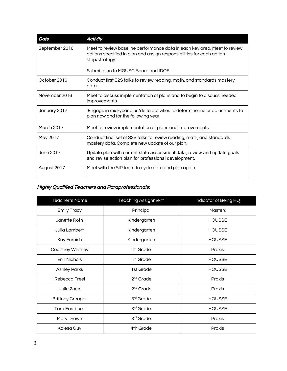| <b>Date</b>    | <b>Activity</b>                                                                                                                                                      |
|----------------|----------------------------------------------------------------------------------------------------------------------------------------------------------------------|
| September 2016 | Meet to review baseline performance data in each key area. Meet to review<br>actions specified in plan and assign responsibilities for each action<br>step/strategy. |
|                | Submit plan to MGUSC Board and IDOE.                                                                                                                                 |
| October 2016   | Conduct first S2S talks to review reading, math, and standards mastery<br>data.                                                                                      |
| November 2016  | Meet to discuss implementation of plans and to begin to discuss needed<br>improvements.                                                                              |
| January 2017   | Engage in mid-year plus/delta activities to determine major adjustments to<br>plan now and for the following year.                                                   |
| March 2017     | Meet to review implementation of plans and improvements.                                                                                                             |
| May 2017       | Conduct final set of S2S talks to review reading, math, and standards<br>mastery data. Complete new update of our plan.                                              |
| June 2017      | Update plan with current state assessment data, review and update goals<br>and revise action plan for professional development.                                      |
| August 2017    | Meet with the SIP team to cycle data and plan again.                                                                                                                 |

# Highly Qualified Teachers and Paraprofessionals:

| Teacher's Name          | <b>Teaching Assignment</b> | Indicator of Being HQ |
|-------------------------|----------------------------|-----------------------|
| <b>Emily Tracy</b>      | Principal                  | <b>Masters</b>        |
| Janette Roth            | Kindergarten               | <b>HOUSSE</b>         |
| Julia Lambert           | Kindergarten               | <b>HOUSSE</b>         |
| Kay Furnish             | Kindergarten               | <b>HOUSSE</b>         |
| Courtney Whitney        | 1 <sup>st</sup> Grade      | Praxis                |
| Erin Nichols            | $1st$ Grade                | <b>HOUSSE</b>         |
| <b>Ashley Parks</b>     | 1st Grade                  | <b>HOUSSE</b>         |
| Rebecca Freel           | 2 <sup>nd</sup> Grade      | Praxis                |
| Julie Zoch              | $2nd$ Grade                | Praxis                |
| <b>Brittney Creager</b> | 3 <sup>rd</sup> Grade      | <b>HOUSSE</b>         |
| Tara Eastburn           | 3 <sup>rd</sup> Grade      | <b>HOUSSE</b>         |
| Mary Drown              | 3 <sup>rd</sup> Grade      | Praxis                |
| Kalesa Guy              | 4th Grade                  | Praxis                |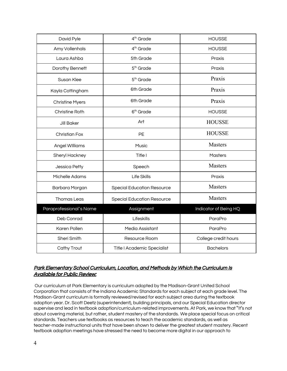| David Pyle              | 4 <sup>th</sup> Grade              | <b>HOUSSE</b>         |
|-------------------------|------------------------------------|-----------------------|
| Amy Vollenhals          | 4 <sup>th</sup> Grade              | <b>HOUSSE</b>         |
| Laura Ashba             | 5th Grade                          | Praxis                |
| Dorothy Bennett         | 5 <sup>th</sup> Grade              | Praxis                |
| Susan Klee              | 5 <sup>th</sup> Grade              | Praxis                |
| Kayla Cottingham        | 6th Grade                          | Praxis                |
| <b>Christine Myers</b>  | 6th Grade                          | Praxis                |
| <b>Christine Roth</b>   | 6 <sup>th</sup> Grade              | <b>HOUSSE</b>         |
| <b>Jill Baker</b>       | Art                                | <b>HOUSSE</b>         |
| <b>Christian Fox</b>    | PE                                 | <b>HOUSSE</b>         |
| Angel Williams          | Music                              | Masters               |
| Sheryl Hackney          | Title I                            | Masters               |
| Jessica Petty           | Speech                             | <b>Masters</b>        |
| Michelle Adams          | Life Skills                        | Praxis                |
| Barbara Morgan          | <b>Special Education Resource</b>  | <b>Masters</b>        |
| <b>Thomas Leas</b>      | <b>Special Education Resource</b>  | Masters               |
| Paraprofessional's Name | Assignment                         | Indicator of Being HQ |
| Deb Conrad              | Lifeskills                         | ParaPro               |
| Karen Pollen            | Media Assistant                    | ParaPro               |
| Sheri Smith             | Resource Room                      | College credit hours  |
| Cathy Trout             | <b>Title I Academic Specialist</b> | <b>Bachelors</b>      |

# Park Elementary School Curriculum, Location, and Methods by Which the Curriculum Is Available for Public Review:

 Our curriculum at Park Elementary is curriculum adopted by the Madison-Grant United School Corporation that consists of the Indiana Academic Standards for each subject at each grade level. The Madison-Grant curriculum is formally reviewed/revised for each subject area during the textbook adoption year. Dr. Scott Deetz (superintendent), building principals, and our Special Education director supervise and lead in textbook adoption/curriculum-related improvements. At Park, we know that "it's not about covering material, but rather, student mastery of the standards. We place special focus on critical standards. Teachers use textbooks as resources to teach the academic standards, as well as teacher-made instructional units that have been shown to deliver the greatest student mastery. Recent textbook adoption meetings have stressed the need to become more digital in our approach to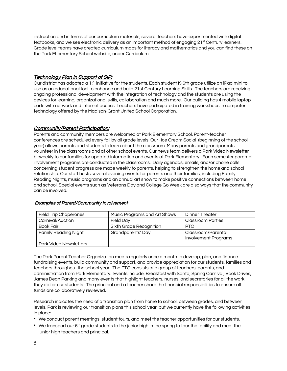instruction and in terms of our curriculum materials, several teachers have experimented with digital textbooks, and we see electronic delivery as an important method of engaging 21<sup>st</sup> Century learners. Grade level teams have created curriculum maps for literacy and mathematics and you can find these on the Park ELementary School website, under Curriculum.

### Technology Plan in Support of SIP:

Our district has adopted a 1:1 initiative for the students. Each student K-6th grade utilize an iPad mini to use as an educational tool to enhance and build 21st Century Learning Skills. The teachers are receiving ongoing professional development with the integration of technology and the students are using the devices for learning, organizational skills, collaboration and much more. Our building has 4 mobile laptop carts with network and Internet access. Teachers have participated in training workshops in computer technology offered by the Madison-Grant United School Corporation.

#### **Community/Parent Participation:**

Parents and community members are welcomed at Park Elementary School. Parent-teacher conferences are scheduled every fall by all grade levels. Our -Ice Cream Social (beginning of the school year) allows parents and students to learn about the classroom. Many parents and grandparents volunteer in the classrooms and at other school events. Our news team delivers a Park Video Newsletter bi-weekly to our families for updated information and events at Park Elementary. Each semester parental involvement programs are conducted in the classrooms. Daily agendas, emails, and/or phone calls concerning student progress are made weekly to parents, helping to strengthen the home and school relationship. Our staff hosts several evening events for parents and their families, including Family Reading Nights, music programs and an annual art show to make positive connections between home and school. Special events such as Veterans Day and College Go Week are also ways that the community can be involved.

| <b>Field Trip Chaperones</b>  | Music Programs and Art Shows | <b>Dinner Theater</b>                             |
|-------------------------------|------------------------------|---------------------------------------------------|
| Carnival/Auction              | <b>Field Dav</b>             | <b>Classroom Parties</b>                          |
| <b>Book Fair</b>              | Sixth Grade Recognition      | <b>PTO</b>                                        |
| <b>Family Reading Night</b>   | Grandparents' Day            | Classroom/Parental<br><b>Involvement Programs</b> |
| <b>Park Video Newsletters</b> |                              |                                                   |

#### Examples of Parent/Community Involvement

The Park Parent Teacher Organization meets regularly once a month to develop, plan, and finance fundraising events, build community and support, and provide appreciation for our students, families and teachers throughout the school year. The PTO consists of a group of teachers, parents, and administration from Park Elementary. Events include, Breakfast with Santa, Spring Carnival, Book Drives, James Dean Parking and many events that highlight teachers, nurses, and secretaries for all the work they do for our students. The principal and a teacher share the financial responsibilities to ensure all funds are collaboratively reviewed.

Research indicates the need of a transition plan from home to school, between grades, and between levels. Park is reviewing our transition plans this school year, but we currently have the following activities in place:

- We conduct parent meetings, student tours, and meet the teacher opportunities for our students.
- $\bullet$  We transport our 6<sup>th</sup> grade students to the junior high in the spring to tour the facility and meet the junior high teachers and principal.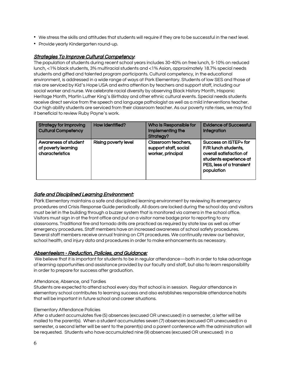- We stress the skills and attitudes that students will require if they are to be successful in the next level.
- Provide yearly Kindergarten round-up.

#### Strategies To Improve Cultural Competency:

The population of students during recent school years includes 30-40% on free lunch, 5-10% on reduced lunch, <1% black students, 3% multiracial students and <1% Asian, approximately 18.7% special needs students and gifted and talented program participants. Cultural competency, in the educational environment, is addressed in a wide range of ways at Park Elementary. Students of low SES and those at risk are serviced by Kid's Hope USA and extra attention by teachers and support staff, including our social worker and nurse. We celebrate racial diversity by observing Black History Month, Hispanic Heritage Month, Martin Luther King's Birthday and other ethnic cultural events. Special needs students receive direct service from the speech and language pathologist as well as a mild interventions teacher. Our high ability students are serviced from their classroom teacher. As our poverty rate rises, we may find it beneficial to review Ruby Payne's work.

| <b>Strategy for Improving</b><br><b>Cultural Competency</b>    | How Identified?             | Who Is Responsible for<br>Implementing the<br>Strategy?           | <b>Evidence of Successful</b><br>Integration                                                                                                |
|----------------------------------------------------------------|-----------------------------|-------------------------------------------------------------------|---------------------------------------------------------------------------------------------------------------------------------------------|
| Awareness of student<br>of poverty learning<br>characteristics | <b>Rising poverty level</b> | Classroom teachers,<br>support staff, social<br>worker, principal | Success on ISTEP+ for<br>F/R lunch students,<br>overall satisfaction of<br>students experience at<br>PES, less of a transient<br>population |

### Safe and Disciplined Learning Environment:

Park Elementary maintains a safe and disciplined learning environment by reviewing its emergency procedures and Crisis Response Guide periodically. All doors are locked during the school day and visitors must be let in the building through a buzzer system that is monitored via camera in the school office. Visitors must sign in at the front office and put on a visitor name badge prior to reporting to any classrooms. Traditional fire and tornado drills are practiced as required by state law as well as other emergency procedures. Staff members have an increased awareness of school safety procedures. Several staff members receive annual training on CPI procedures. We continually review our behavior, school health, and injury data and procedures in order to make enhancements as necessary.

#### Absenteeism - Reduction, Policies, and Guidance:

 We believe that it is important for students to be in regular attendance—both in order to take advantage of learning opportunities and assistance provided by our faculty and staff, but also to learn responsibility in order to prepare for success after graduation.

#### Attendance, Absence, and Tardies

Students are expected to attend school every day that school is in session. Regular attendance in elementary school contributes to learning success and also establishes responsible attendance habits that will be important in future school and career situations.

#### Elementary Attendance Policies

After a student accumulates five (5) absences (excused OR unexcused) in a semester, a letter will be mailed to the parent(s). When a student accumulates seven (7) absences (excused OR unexcused) in a semester, a second letter will be sent to the parent(s) and a parent conference with the administration will be requested. Students who have accumulated nine (9) absences (excused OR unexcused) in a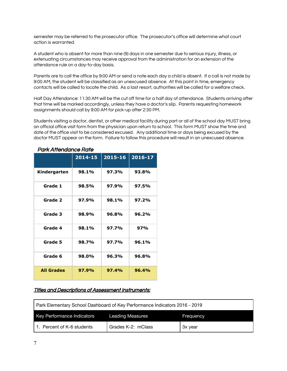semester may be referred to the prosecutor office. The prosecutor's office will determine what court action is warranted.

A student who is absent for more than nine (9) days in one semester due to serious injury, illness, or extenuating circumstances may receive approval from the administration for an extension of the attendance rule on a day-to-day basis.

Parents are to call the office by 9:00 AM or send a note each day a child is absent. If a call is not made by 9:00 AM, the student will be classified as an unexcused absence. At this point in time, emergency contacts will be called to locate the child. As a last resort, authorities will be called for a welfare check.

Half Day Attendance: 11:30 AM will be the cut off time for a half day of attendance. Students arriving after that time will be marked accordingly, unless they have a doctor's slip. Parents requesting homework assignments should call by 9:00 AM for pick-up after 2:30 PM.

Students visiting a doctor, dentist, or other medical facility during part or all of the school day MUST bring an official office visit form from the physician upon return to school. This form MUST show the time and date of the office visit to be considered excused. Any additional time or days being excused by the doctor MUST appear on the form. Failure to follow this procedure will result in an unexcused absence.

| <u>umancinum icc itulic</u> |         |             |             |  |
|-----------------------------|---------|-------------|-------------|--|
|                             | 2014-15 | $2015 - 16$ | $2016 - 17$ |  |
| Kindergarten                | 98.1%   | 97.3%       | 93.8%       |  |
| Grade 1                     | 98.5%   | 97.9%       | 97.5%       |  |
| Grade 2                     | 97.9%   | 98.1%       | 97.2%       |  |
| Grade 3                     | 98.9%   | 96.8%       | 96.2%       |  |
| Grade 4                     | 98.1%   | 97.7%       | 97%         |  |
| Grade 5                     | 98.7%   | 97.7%       | 96.1%       |  |
| Grade 6                     | 98.0%   | 96.3%       | 96.8%       |  |
| <b>All Grades</b>           | 97.9%   | 97.4%       | 96.4%       |  |

# Park Attendance Rate

# Titles and Descriptions of Assessment Instruments:

| Park Elementary School Dashboard of Key Performance Indicators 2016 - 2019 |                    |         |  |  |
|----------------------------------------------------------------------------|--------------------|---------|--|--|
| Key Performance Indicators<br><b>Leading Measures</b><br>Frequency         |                    |         |  |  |
| 1. Percent of K-6 students                                                 | Grades K-2: mClass | 3x year |  |  |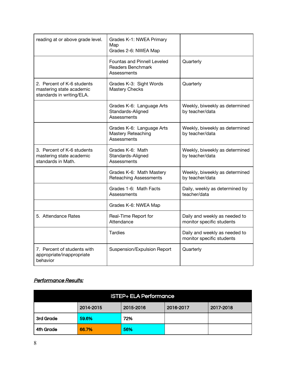| reading at or above grade level.                                                    | Grades K-1: NWEA Primary<br>Map<br>Grades 2-6: NWEA Map                |                                                            |
|-------------------------------------------------------------------------------------|------------------------------------------------------------------------|------------------------------------------------------------|
|                                                                                     | Fountas and Pinnell Leveled<br><b>Readers Benchmark</b><br>Assessments | Quarterly                                                  |
| 2. Percent of K-6 students<br>mastering state academic<br>standards in writing/ELA. | Grades K-3: Sight Words<br><b>Mastery Checks</b>                       | Quarterly                                                  |
|                                                                                     | Grades K-6: Language Arts<br>Standards-Aligned<br>Assessments          | Weekly, biweekly as determined<br>by teacher/data          |
|                                                                                     | Grades K-6: Language Arts<br>Mastery Reteaching<br>Assessments         | Weekly, biweekly as determined<br>by teacher/data          |
| 3. Percent of K-6 students<br>mastering state academic<br>standards in Math.        | Grades K-6: Math<br>Standards-Aligned<br>Assessments                   | Weekly, biweekly as determined<br>by teacher/data          |
|                                                                                     | Grades K-6: Math Mastery<br><b>Reteaching Assessments</b>              | Weekly, biweekly as determined<br>by teacher/data          |
|                                                                                     | Grades 1-6: Math Facts<br>Assessments                                  | Daily, weekly as determined by<br>teacher/data             |
|                                                                                     | Grades K-6: NWEA Map                                                   |                                                            |
| 5. Attendance Rates                                                                 | Real-Time Report for<br>Attendance                                     | Daily and weekly as needed to<br>monitor specific students |
|                                                                                     | <b>Tardies</b>                                                         | Daily and weekly as needed to<br>monitor specific students |
| 7. Percent of students with<br>appropriate/inappropriate<br>behavior                | Suspension/Expulsion Report                                            | Quarterly                                                  |

# Performance Results:

| <b>ISTEP+ ELA Performance</b> |           |           |           |           |
|-------------------------------|-----------|-----------|-----------|-----------|
|                               | 2014-2015 | 2015-2016 | 2016-2017 | 2017-2018 |
| 3rd Grade                     | 59.6%     | 72%       |           |           |
| 4th Grade                     | 66.7%     | 56%       |           |           |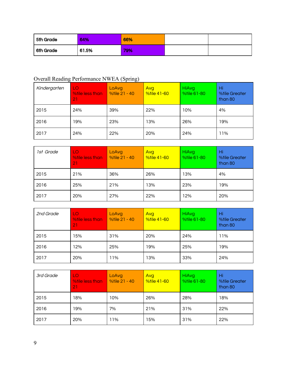| 5th Grade | 64%   | 66% |  |
|-----------|-------|-----|--|
| 6th Grade | 61.5% | 79% |  |

# Overall Reading Performance NWEA (Spring)

| Kindergarten | LO<br>%tile less than<br>21 | LoAvg<br>%tile 21 - 40 | <b>Avg</b><br><b>%tile 41-60</b> | HiAvg<br>%tile 61-80 | Hi<br><b>%tile Greater</b><br>than 80 |
|--------------|-----------------------------|------------------------|----------------------------------|----------------------|---------------------------------------|
| 2015         | 24%                         | 39%                    | 22%                              | 10%                  | 4%                                    |
| 2016         | 19%                         | 23%                    | 13%                              | 26%                  | 19%                                   |
| 2017         | 24%                         | 22%                    | 20%                              | 24%                  | 11%                                   |

| 1st Grade | LO<br><b>%tile less than</b><br>21 | LoAvg<br>%tile 21 - 40 | Avg<br><b>%tile 41-60</b> | HiAvg<br><b>%tile 61-80</b> | Hi<br><b>%tile Greater</b><br>than 80 |
|-----------|------------------------------------|------------------------|---------------------------|-----------------------------|---------------------------------------|
| 2015      | 21%                                | 36%                    | 26%                       | 13%                         | 4%                                    |
| 2016      | 25%                                | 21%                    | 13%                       | 23%                         | 19%                                   |
| 2017      | 20%                                | 27%                    | 22%                       | 12%                         | 20%                                   |

| 2nd Grade | LO<br>%tile less than<br>21 | LoAvg<br>%tile 21 - 40 | Avg<br><b>Votile 41-60</b> | HiAvg<br><b>%tile 61-80</b> | Hi<br><b>%tile Greater</b><br>than 80 |
|-----------|-----------------------------|------------------------|----------------------------|-----------------------------|---------------------------------------|
| 2015      | 15%                         | 31%                    | 20%                        | 24%                         | 11%                                   |
| 2016      | 12%                         | 25%                    | 19%                        | 25%                         | 19%                                   |
| 2017      | 20%                         | 11%                    | 13%                        | 33%                         | 24%                                   |

| 3rd Grade | LO<br><b>%tile less than</b><br>21 | LoAvg<br>%tile 21 - 40 | Avg<br><b>%tile 41-60</b> | HiAvg<br><b>%tile 61-80</b> | Hi<br><b>%tile Greater</b><br>than 80 |
|-----------|------------------------------------|------------------------|---------------------------|-----------------------------|---------------------------------------|
| 2015      | 18%                                | 10%                    | 26%                       | 28%                         | 18%                                   |
| 2016      | 19%                                | 7%                     | 21%                       | 31%                         | 22%                                   |
| 2017      | 20%                                | 11%                    | 15%                       | 31%                         | 22%                                   |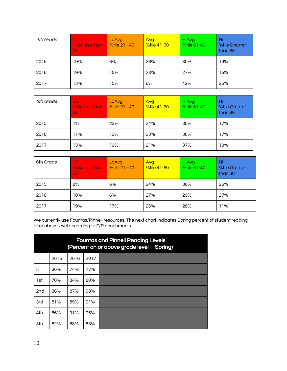| 4th Grade | LO<br>%tile less than<br>21 | LoAvg<br>%tile 21 - 40 | Avg<br><b>Votile 41-60</b> | HiAvg<br><b>%tile 61-80</b> | Hi<br><b>%tile Greater</b><br>than 80 |
|-----------|-----------------------------|------------------------|----------------------------|-----------------------------|---------------------------------------|
| 2015      | 19%                         | 6%                     | 26%                        | 30%                         | 19%                                   |
| 2016      | 19%                         | 15%                    | 23%                        | 27%                         | 15%                                   |
| 2017      | 13%                         | 15%                    | 6%                         | 42%                         | 25%                                   |

| 5th Grade | LO<br><b>%tile less than</b><br>21 | LoAvg<br>%tile 21 - 40 | Avg<br><b>%tile 41-60</b> | HiAvg<br><b>%tile 61-80</b> | Hi<br><b>%tile Greater</b><br>than 80 |
|-----------|------------------------------------|------------------------|---------------------------|-----------------------------|---------------------------------------|
| 2015      | 7%                                 | 22%                    | 24%                       | 30%                         | 17%                                   |
| 2016      | 11%                                | 13%                    | 23%                       | 36%                         | 17%                                   |
| 2017      | 13%                                | 19%                    | 21%                       | 37%                         | 10%                                   |

| 6th Grade | LO<br>%tile less than<br>21 | LoAvg<br>%tile 21 - 40 | Avg<br><b>%tile 41-60</b> | <b>HiAvg</b><br><b>%tile 61-80</b> | Hi<br><b>%tile Greater</b><br>than 80 |
|-----------|-----------------------------|------------------------|---------------------------|------------------------------------|---------------------------------------|
| 2015      | 8%                          | 6%                     | 24%                       | 36%                                | 26%                                   |
| 2016      | 10%                         | 6%                     | 27%                       | 29%                                | 27%                                   |
| 2017      | 19%                         | 17%                    | 26%                       | 28%                                | 11%                                   |

We currently use Fountas/Pinnell resources. The next chart indicates Spring percent of student reading at or above level according to F/P benchmarks.

|                 | <b>Fountas and Pinnell Reading Levels</b><br>(Percent on or above grade level -- Spring) |      |      |  |  |  |
|-----------------|------------------------------------------------------------------------------------------|------|------|--|--|--|
|                 | 2015                                                                                     | 2016 | 2017 |  |  |  |
| K               | 36%                                                                                      | 74%  | 77%  |  |  |  |
| 1st             | 70%                                                                                      | 84%  | 80%  |  |  |  |
| 2 <sub>nd</sub> | 86%                                                                                      | 87%  | 98%  |  |  |  |
| 3rd             | 81%                                                                                      | 89%  | 91%  |  |  |  |
| 4th             | 86%                                                                                      | 91%  | 95%  |  |  |  |
| 5th             | 82%                                                                                      | 88%  | 83%  |  |  |  |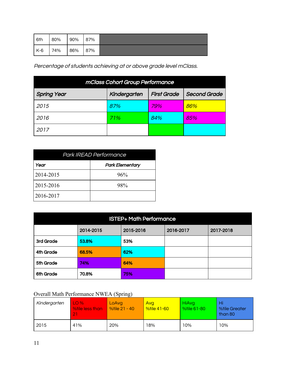| 6th   | 80% | 90% | 87% |  |
|-------|-----|-----|-----|--|
| $K-6$ | 74% | 86% | 87% |  |

Percentage of students achieving at or above grade level mClass.

| mClass Cohort Group Performance |              |                    |              |  |  |
|---------------------------------|--------------|--------------------|--------------|--|--|
| <b>Spring Year</b>              | Kindergarten | <b>First Grade</b> | Second Grade |  |  |
| 2015                            | 87%          | 79%                | 86%          |  |  |
| 2016                            | 71%          | 84%                | 85%          |  |  |
| 2017                            |              |                    |              |  |  |

| <b>Park IREAD Performance</b> |                        |  |  |  |  |
|-------------------------------|------------------------|--|--|--|--|
| Year                          | <b>Park Elementary</b> |  |  |  |  |
| 2014-2015                     | 96%                    |  |  |  |  |
| 2015-2016                     | 98%                    |  |  |  |  |
| 2016-2017                     |                        |  |  |  |  |

| <b>ISTEP+ Math Performance</b> |           |           |           |           |  |  |
|--------------------------------|-----------|-----------|-----------|-----------|--|--|
|                                | 2014-2015 | 2015-2016 | 2016-2017 | 2017-2018 |  |  |
| 3rd Grade                      | 53.8%     | 53%       |           |           |  |  |
| 4th Grade                      | 68.5%     | 62%       |           |           |  |  |
| 5th Grade                      | 74%       | 64%       |           |           |  |  |
| 6th Grade                      | 70.8%     | 75%       |           |           |  |  |

# Overall Math Performance NWEA (Spring)

| Kindergarten | LO <sub>96</sub><br>%tile less than | LoAva<br>%tile 21 - 40 | Avg<br><b>Votile 41-60</b> | HiAva<br><b>%tile 61-80</b> | Hi<br><b>%tile Greater</b><br>than 80 |
|--------------|-------------------------------------|------------------------|----------------------------|-----------------------------|---------------------------------------|
| 2015         | 41%                                 | 20%                    | 18%                        | 10%                         | 10%                                   |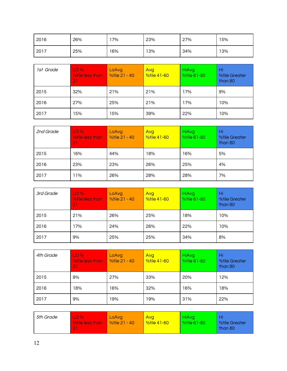| 2016 | 26% | 17% | 23% | 27% | 15% |
|------|-----|-----|-----|-----|-----|
| 2017 | 25% | 16% | 13% | 34% | 13% |

| 1st Grade | LO <sub>96</sub><br>%tile less than<br>21 | LoAvg<br>%tile 21 - 40 | Avg<br><b>%tile 41-60</b> | HiAvg<br>%tile 61-80 | Hi<br><b>%tile Greater</b><br>than 80 |
|-----------|-------------------------------------------|------------------------|---------------------------|----------------------|---------------------------------------|
| 2015      | 32%                                       | 21%                    | 21%                       | 17%                  | 9%                                    |
| 2016      | 27%                                       | 25%                    | 21%                       | 17%                  | 10%                                   |
| 2017      | 15%                                       | 15%                    | 39%                       | 22%                  | 10%                                   |

| 2nd Grade | LO <sub>96</sub><br><b>Wile less than</b><br>21 | LoAvg<br>%tile 21 - 40 | Avg<br><b>%tile 41-60</b> | HiAvg<br><b>%tile 61-80</b> | Hi<br><b>%tile Greater</b><br>than 80 |
|-----------|-------------------------------------------------|------------------------|---------------------------|-----------------------------|---------------------------------------|
| 2015      | 16%                                             | 44%                    | 18%                       | 16%                         | 5%                                    |
| 2016      | 23%                                             | 23%                    | 26%                       | 25%                         | 4%                                    |
| 2017      | 11%                                             | 26%                    | 28%                       | 28%                         | 7%                                    |

| 3rd Grade | LO <sub>96</sub><br>%tile less than<br>21 | LoAvg<br>%tile 21 - 40 | Avg<br><b>%tile 41-60</b> | HiAvg<br>%tile 61-80 | Hi<br><b>%tile Greater</b><br>than 80 |
|-----------|-------------------------------------------|------------------------|---------------------------|----------------------|---------------------------------------|
| 2015      | 21%                                       | 26%                    | 25%                       | 18%                  | 10%                                   |
| 2016      | 17%                                       | 24%                    | 26%                       | 22%                  | 10%                                   |
| 2017      | 9%                                        | 25%                    | 25%                       | 34%                  | 8%                                    |

| 4th Grade | LO <sub>96</sub><br><b>While less than</b><br>21 | LoAvg<br>%tile 21 - 40 | Avg<br><b>%tile 41-60</b> | HiAvg<br><b>%tile 61-80</b> | Hi<br><b>%tile Greater</b><br>than 80 |
|-----------|--------------------------------------------------|------------------------|---------------------------|-----------------------------|---------------------------------------|
| 2015      | 8%                                               | 27%                    | 33%                       | 20%                         | 12%                                   |
| 2016      | 18%                                              | 16%                    | 32%                       | 16%                         | 18%                                   |
| 2017      | 9%                                               | 19%                    | 19%                       | 31%                         | 22%                                   |

| 5th Grade<br>LO <sub>96</sub><br>%tile less than | LoAvg<br>%tile 21 - 40 | <b>Avg</b><br><b>%tile 41-60</b> | HiAva<br><b>Votile 61-80</b> | <b>%tile Greater</b><br>than 80 |
|--------------------------------------------------|------------------------|----------------------------------|------------------------------|---------------------------------|
|--------------------------------------------------|------------------------|----------------------------------|------------------------------|---------------------------------|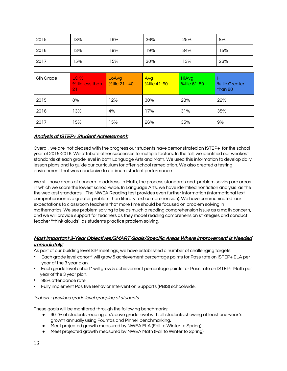| 2015 | 13% | 19% | 36% | 25% | 8%  |
|------|-----|-----|-----|-----|-----|
| 2016 | 13% | 19% | 19% | 34% | 15% |
| 2017 | 15% | 15% | 30% | 13% | 26% |

| 6th Grade | LO <sub>96</sub><br><b>While less than</b><br>21 | LoAvg<br>%tile 21 - 40 | Avg<br><b>%tile 41-60</b> | HiAvg<br><b>%tile 61-80</b> | Hi<br><b>%tile Greater</b><br>than 80 |
|-----------|--------------------------------------------------|------------------------|---------------------------|-----------------------------|---------------------------------------|
| 2015      | 8%                                               | 12%                    | 30%                       | 28%                         | 22%                                   |
| 2016      | 13%                                              | 4%                     | 17%                       | 31%                         | 35%                                   |
| 2017      | 15%                                              | 15%                    | 26%                       | 35%                         | 9%                                    |

### Analysis of ISTEP+ Student Achievement:

Overall, we are not pleased with the progress our students have demonstrated on ISTEP+ for the school year of 2015-2016. We attribute other successes to multiple factors. In the fall, we identified our weakest standards at each grade level in both Language Arts and Math. We used this information to develop daily lesson plans and to guide our curriculum for after-school remediation. We also created a testing environment that was conducive to optimum student performance.

We still have areas of concern to address. In Math, the process standards and problem solving are areas in which we score the lowest school-wide. In Language Arts, we have identified nonfiction analysis as the the weakest standards. The NWEA Reading test provides even further information (informational text comprehension is a greater problem than literary text comprehension). We have communicated our expectations to classroom teachers that more time should be focused on problem solving in mathematics. We see problem solving to be as much a reading comprehension issue as a math concern, and we will provide support for teachers as they model reading comprehension strategies and conduct teacher "think alouds" as students practice problem solving.

#### Most Important 3-Year Objectives/SMART Goals/Specific Areas Where Improvement Is Needed Immediately:

As part of our building level SIP meetings, we have established a number of challenging targets:

- Each grade level cohort\* will grow 5 achievement percentage points for Pass rate on ISTEP+ ELA per year of the 3 year plan.
- Each grade level cohort\* will grow 5 achievement percentage points for Pass rate on ISTEP+ Math per year of the 3 year plan.
- 98% attendance rate
- Fully implement Positive Behavior Intervention Supports (PBIS) schoolwide.

#### \*cohort - previous grade level grouping of students

These goals will be monitored through the following benchmarks:

- 90+% of students reading on/above grade level with all students showing at least one-year's growth annually using Fountas and Pinnell benchmarking.
- Meet projected growth measured by NWEA ELA (Fall to Winter to Spring)
- Meet projected growth measured by NWEA Math (Fall to Winter to Spring)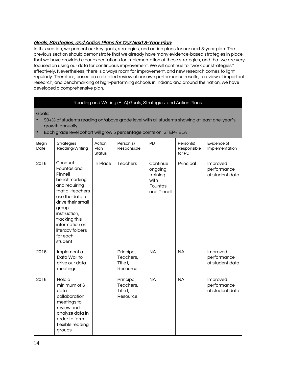# Goals, Strategies, and Action Plans for Our Next 3-Year Plan:

In this section, we present our key goals, strategies, and action plans for our next 3-year plan. The previous section should demonstrate that we already have many evidence-based strategies in place, that we have provided clear expectations for implementation of these strategies, and that we are very focused on using our data for continuous improvement. We will continue to "work our strategies" effectively. Nevertheless, there is always room for improvement, and new research comes to light regularly. Therefore, based on a detailed review of our own performance results, a review of important research, and benchmarking of high-performing schools in Indiana and around the nation, we have developed a comprehensive plan.

#### Reading and Writing (ELA) Goals, Strategies, and Action Plans

#### Goals:

- 90+% of students reading on/above grade level with all students showing at least one-year's growth annually
- Each grade level cohort will grow 5 percentage points on ISTEP+ ELA

| Begin<br>Date | <b>Strategies</b><br>Reading/Writing                                                                                                                                                                                                   | Action<br>Plan<br><b>Status</b> | Person(s)<br>Responsible                        | PD                                                                | Person(s)<br>Responsible<br>for PD | Evidence of<br>Implementation              |
|---------------|----------------------------------------------------------------------------------------------------------------------------------------------------------------------------------------------------------------------------------------|---------------------------------|-------------------------------------------------|-------------------------------------------------------------------|------------------------------------|--------------------------------------------|
| 2016          | Conduct<br>Fountas and<br>Pinnell<br>benchmarking<br>and requiring<br>that all teachers<br>use the data to<br>drive their small<br>group<br>instruction,<br>tracking this<br>information on<br>literacy folders<br>for each<br>student | In Place                        | <b>Teachers</b>                                 | Continue<br>ongoing<br>training<br>with<br>Fountas<br>and Pinnell | Principal                          | Improved<br>performance<br>of student data |
| 2016          | Implement a<br>Data Wall to<br>drive our data<br>meetings                                                                                                                                                                              |                                 | Principal,<br>Teachers,<br>Title I,<br>Resource | <b>NA</b>                                                         | <b>NA</b>                          | Improved<br>performance<br>of student data |
| 2016          | Hold a<br>minimum of 6<br>data<br>collaboration<br>meetings to<br>review and<br>analyze data in<br>order to form<br>flexible reading<br>groups                                                                                         |                                 | Principal,<br>Teachers,<br>Title I,<br>Resource | <b>NA</b>                                                         | <b>NA</b>                          | Improved<br>performance<br>of student data |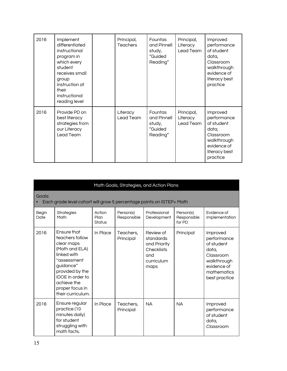| 2016 | Implement<br>differentiated<br>instructional<br>program in<br>which every<br>student<br>receives small<br>group<br>instruction at<br>their<br>instructional<br>reading level | Principal,<br><b>Teachers</b> | <b>Fountas</b><br>and Pinnell<br>study,<br>"Guided<br>Reading" | Principal,<br>Literacy<br>Lead Team | Improved<br>performance<br>of student<br>data,<br>Classroom<br>walkthrough<br>evidence of<br>literacy best<br>practice |
|------|------------------------------------------------------------------------------------------------------------------------------------------------------------------------------|-------------------------------|----------------------------------------------------------------|-------------------------------------|------------------------------------------------------------------------------------------------------------------------|
| 2016 | Provide PD on<br>best literacy<br>strategies from<br>our Literacy<br>Lead Team                                                                                               | Literacy<br>Lead Team         | <b>Fountas</b><br>and Pinnell<br>study,<br>"Guided<br>Reading" | Principal,<br>Literacy<br>Lead Team | Improved<br>performance<br>of student<br>data,<br>Classroom<br>walkthrough<br>evidence of<br>literacy best<br>practice |

|                      | Math Goals, Strategies, and Action Plans                                                                                                                                                                              |                          |                          |                                                                                          |                                    |                                                                                                                           |  |  |  |
|----------------------|-----------------------------------------------------------------------------------------------------------------------------------------------------------------------------------------------------------------------|--------------------------|--------------------------|------------------------------------------------------------------------------------------|------------------------------------|---------------------------------------------------------------------------------------------------------------------------|--|--|--|
| Goals:               | Each grade level cohort will grow 5 percentage points on ISTEP+ Math                                                                                                                                                  |                          |                          |                                                                                          |                                    |                                                                                                                           |  |  |  |
| <b>Begin</b><br>Date | <b>Strategies</b><br>Math                                                                                                                                                                                             | Action<br>Plan<br>Status | Person(s)<br>Responsible | Professional<br>Development                                                              | Person(s)<br>Responsible<br>for PD | Evidence of<br>Implementation                                                                                             |  |  |  |
| 2016                 | <b>Ensure that</b><br>teachers follow<br>clear maps<br>(Math and ELA)<br>linked with<br>"assessment<br>guidance"<br>provided by the<br><b>IDOE</b> in order to<br>achieve the<br>proper focus in<br>their curriculum. | In Place                 | Teachers,<br>Principal   | Review of<br>standards<br>and Priority<br><b>Checklists</b><br>and<br>curriculum<br>maps | Principal                          | Improved<br>performance<br>of student<br>data,<br>Classroom<br>walkthrough<br>evidence of<br>mathematics<br>best practice |  |  |  |
| 2016                 | Ensure regular<br>practice (10<br>minutes daily)<br>for student<br>struggling with<br>math facts.                                                                                                                     | In Place                 | Teachers,<br>Principal   | <b>NA</b>                                                                                | <b>NA</b>                          | Improved<br>performance<br>of student<br>data,<br>Classroom                                                               |  |  |  |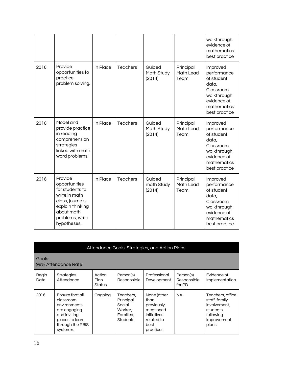|      |                                                                                                                                                      |          |                 |                                |                                | walkthrough<br>evidence of<br>mathematics<br>best practice                                                                |
|------|------------------------------------------------------------------------------------------------------------------------------------------------------|----------|-----------------|--------------------------------|--------------------------------|---------------------------------------------------------------------------------------------------------------------------|
| 2016 | Provide<br>opportunities to<br>practice<br>problem solving.                                                                                          | In Place | <b>Teachers</b> | Guided<br>Math Study<br>(2014) | Principal<br>Math Lead<br>Team | Improved<br>performance<br>of student<br>data,<br>Classroom<br>walkthrough<br>evidence of<br>mathematics<br>best practice |
| 2016 | Model and<br>provide practice<br>in reading<br>comprehension<br>strategies<br>linked with math<br>word problems.                                     | In Place | <b>Teachers</b> | Guided<br>Math Study<br>(2014) | Principal<br>Math Lead<br>Team | Improved<br>performance<br>of student<br>data.<br>Classroom<br>walkthrough<br>evidence of<br>mathematics<br>best practice |
| 2016 | Provide<br>opportunities<br>for students to<br>write in math<br>class, journals,<br>explain thinking<br>about math<br>problems, write<br>hypotheses. | In Place | <b>Teachers</b> | Guided<br>math Study<br>(2014) | Principal<br>Math Lead<br>Team | Improved<br>performance<br>of student<br>data,<br>Classroom<br>walkthrough<br>evidence of<br>mathematics<br>best practice |

| Attendance Goals, Strategies, and Action Plans |                                                                                                                                 |                          |                                                                       |                                                                                                  |                                    |                                                                                                    |
|------------------------------------------------|---------------------------------------------------------------------------------------------------------------------------------|--------------------------|-----------------------------------------------------------------------|--------------------------------------------------------------------------------------------------|------------------------------------|----------------------------------------------------------------------------------------------------|
| Goals:<br>98% Attendance Rate                  |                                                                                                                                 |                          |                                                                       |                                                                                                  |                                    |                                                                                                    |
| Begin<br>Date                                  | <b>Strategies</b><br>Attendance                                                                                                 | Action<br>Plan<br>Status | Person(s)<br>Responsible                                              | Professional<br>Development                                                                      | Person(s)<br>Responsible<br>for PD | Fvidence of<br>Implementation                                                                      |
| 2016                                           | Ensure that all<br>classroom<br>environments<br>are engaging<br>and inviting<br>places to learn<br>through the PBIS<br>system=. | Ongoing                  | Teachers.<br>Principal,<br>Social<br>Worker.<br>Families.<br>Students | None (other<br>than<br>previously<br>mentioned<br>initiatives<br>related to<br>best<br>practices | <b>NA</b>                          | Teachers, office<br>staff, family<br>involvement,<br>students<br>following<br>improvement<br>plans |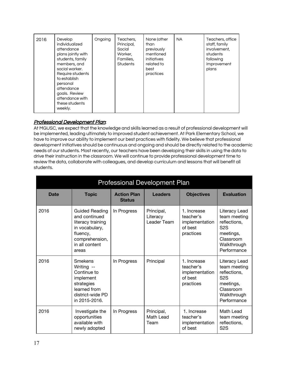# Professional Development Plan:

At MGUSC, we expect that the knowledge and skills learned as a result of professional development will be implemented, leading ultimately to improved student achievement. At Park Elementary School, we have to improve our ability to implement our best practices with fidelity. We believe that professional development initiatives should be continuous and ongoing and should be directly related to the academic needs of our students. Most recently, our teachers have been developing their skills in using the data to drive their instruction in the classroom. We will continue to provide professional development time to review the data, collaborate with colleagues, and develop curriculum and lessons that will benefit all students.

| <b>Professional Development Plan</b> |                                                                                                                                        |                                     |                                       |                                                                    |                                                                                                                           |  |
|--------------------------------------|----------------------------------------------------------------------------------------------------------------------------------------|-------------------------------------|---------------------------------------|--------------------------------------------------------------------|---------------------------------------------------------------------------------------------------------------------------|--|
| <b>Date</b>                          | <b>Topic</b>                                                                                                                           | <b>Action Plan</b><br><b>Status</b> | <b>Leaders</b>                        | <b>Objectives</b>                                                  | <b>Evaluation</b>                                                                                                         |  |
| 2016                                 | <b>Guided Reading</b><br>and continued<br>literacy training<br>in vocabulary,<br>fluency,<br>comprehension,<br>in all content<br>areas | In Progress                         | Principal,<br>Literacy<br>Leader Team | 1. Increase<br>teacher's<br>implementation<br>of best<br>practices | Literacy Lead<br>team meeting<br>reflections.<br>S <sub>2</sub> S<br>meetings,<br>Classroom<br>Walkthrough<br>Performance |  |
| 2016                                 | Smekens<br>Writing --<br>Continue to<br>implement<br>strategies<br>learned from<br>district-wide PD<br>in 2015-2016.                   | In Progress                         | Principal                             | 1. Increase<br>teacher's<br>implementation<br>of best<br>practices | Literacy Lead<br>team meeting<br>reflections,<br>S <sub>2</sub> S<br>meetings,<br>Classroom<br>Walkthrough<br>Performance |  |
| 2016                                 | Investigate the<br>opportunities<br>available with<br>newly adopted                                                                    | In Progress                         | Principal,<br>Math Lead<br>Team       | 1. Increase<br>teacher's<br>implementation<br>of best              | Math Lead<br>team meeting<br>reflections,<br>S <sub>2</sub> S                                                             |  |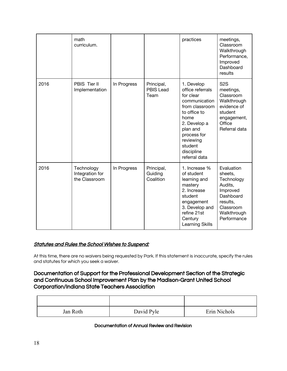|      | math<br>curriculum.                            |             |                                        | practices                                                                                                                                                                                                | meetings,<br>Classroom<br>Walkthrough<br>Performance,<br>Improved<br>Dashboard<br>results                                      |
|------|------------------------------------------------|-------------|----------------------------------------|----------------------------------------------------------------------------------------------------------------------------------------------------------------------------------------------------------|--------------------------------------------------------------------------------------------------------------------------------|
| 2016 | PBIS Tier II<br>Implementation                 | In Progress | Principal,<br><b>PBIS Lead</b><br>Team | 1. Develop<br>office referrals<br>for clear<br>communication<br>from classroom<br>to office to<br>home<br>2. Develop a<br>plan and<br>process for<br>reviewing<br>student<br>discipline<br>referral data | S <sub>2</sub> S<br>meetings,<br>Classroom<br>Walkthrough<br>evidence of<br>student<br>engagement,<br>Office<br>Referral data  |
| 2016 | Technology<br>Integration for<br>the Classroom | In Progress | Principal,<br>Guiding<br>Coalition     | 1. Increase %<br>of student<br>learning and<br>mastery<br>2. Increase<br>student<br>engagement<br>3. Develop and<br>refine 21st<br>Century<br>Learning Skills                                            | Evaluation<br>sheets,<br>Technology<br>Audits,<br>Improved<br>Dashboard<br>results,<br>Classroom<br>Walkthrough<br>Performance |

### Statutes and Rules the School Wishes to Suspend:

At this time, there are no waivers being requested by Park. If this statement is inaccurate, specify the rules and statutes for which you seek a waiver.

# Documentation of Support for the Professional Development Section of the Strategic and Continuous School Improvement Plan by the Madison-Grant United School Corporation/Indiana State Teachers Association

| Jan Roth | David Pyle | Erin Nichols |
|----------|------------|--------------|

#### Documentation of Annual Review and Revision